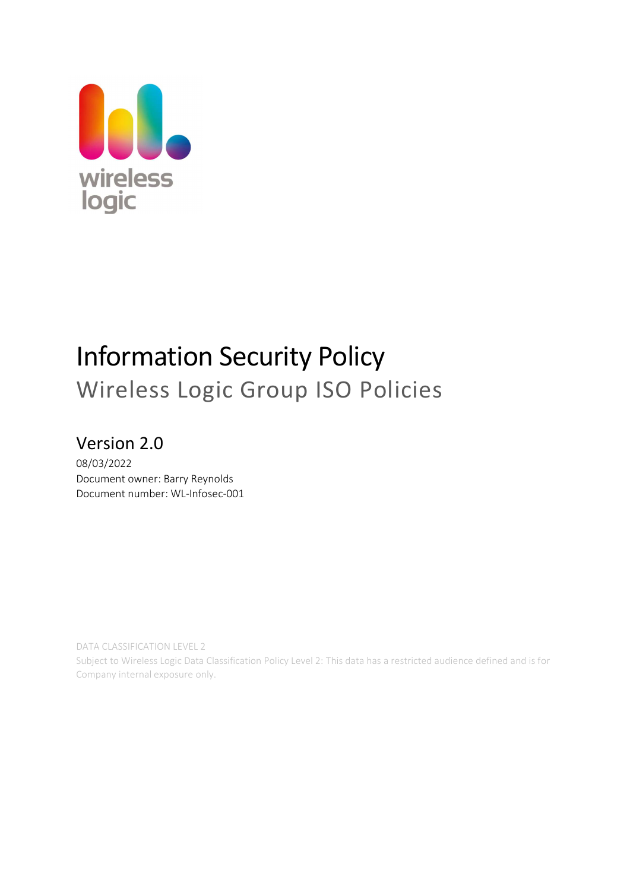

# Information Security Policy Wireless Logic Group ISO Policies

## Version 2.0

08/03/2022 Document owner: Barry Reynolds Document number: WL-Infosec-001

DATA CLASSIFICATION LEVEL 2 Subject to Wireless Logic Data Classification Policy Level 2: This data has a restricted audience defined and is for Company internal exposure only.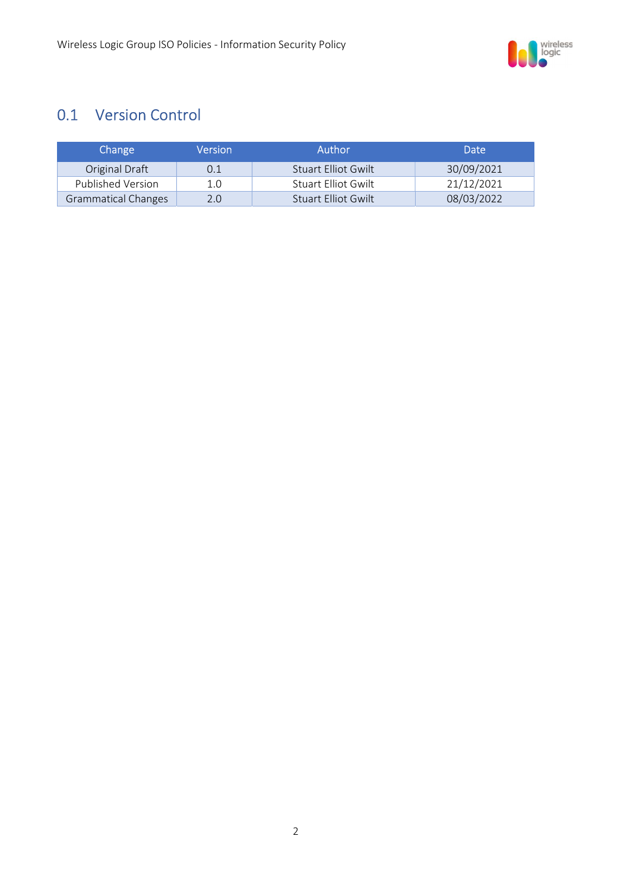

## 0.1 Version Control

| <b>Change</b>       | Version | Author              | Date.      |
|---------------------|---------|---------------------|------------|
| Original Draft      | 0.1     | Stuart Elliot Gwilt | 30/09/2021 |
| Published Version   | 1.0     | Stuart Elliot Gwilt | 21/12/2021 |
| Grammatical Changes | 2.0     | Stuart Elliot Gwilt | 08/03/2022 |